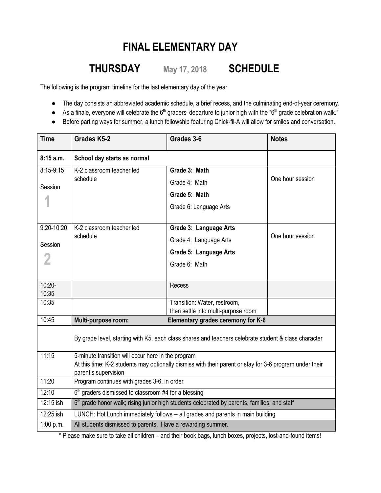## **FINAL ELEMENTARY DAY**

## **THURSDAY May 17, <sup>2018</sup> SCHEDULE**

The following is the program timeline for the last elementary day of the year.

- The day consists an abbreviated academic schedule, a brief recess, and the culminating end-of-year ceremony.
- $\bullet$  As a finale, everyone will celebrate the 6<sup>th</sup> graders' departure to junior high with the "6<sup>th</sup> grade celebration walk."
- Before parting ways for summer, a lunch fellowship featuring Chick-fil-A will allow for smiles and conversation.

| <b>Time</b>    | <b>Grades K5-2</b>                                                                                                                                                                    | Grades 3-6                          | <b>Notes</b>     |
|----------------|---------------------------------------------------------------------------------------------------------------------------------------------------------------------------------------|-------------------------------------|------------------|
| 8:15a.m.       | School day starts as normal                                                                                                                                                           |                                     |                  |
| $8:15-9:15$    | K-2 classroom teacher led                                                                                                                                                             | Grade 3: Math                       |                  |
| Session        | schedule                                                                                                                                                                              | Grade 4: Math                       | One hour session |
|                |                                                                                                                                                                                       | Grade 5: Math                       |                  |
|                |                                                                                                                                                                                       | Grade 6: Language Arts              |                  |
| $9:20 - 10:20$ | K-2 classroom teacher led<br>schedule                                                                                                                                                 | Grade 3: Language Arts              | One hour session |
| Session        |                                                                                                                                                                                       | Grade 4: Language Arts              |                  |
|                |                                                                                                                                                                                       | Grade 5: Language Arts              |                  |
|                |                                                                                                                                                                                       | Grade 6: Math                       |                  |
|                |                                                                                                                                                                                       |                                     |                  |
| $10:20-$       |                                                                                                                                                                                       | Recess                              |                  |
| 10:35<br>10:35 |                                                                                                                                                                                       | Transition: Water, restroom,        |                  |
|                |                                                                                                                                                                                       | then settle into multi-purpose room |                  |
| 10:45          | Multi-purpose room:                                                                                                                                                                   | Elementary grades ceremony for K-6  |                  |
|                | By grade level, starting with K5, each class shares and teachers celebrate student & class character                                                                                  |                                     |                  |
| 11:15          | 5-minute transition will occur here in the program<br>At this time: K-2 students may optionally dismiss with their parent or stay for 3-6 program under their<br>parent's supervision |                                     |                  |
|                |                                                                                                                                                                                       |                                     |                  |
| 11:20          | Program continues with grades 3-6, in order                                                                                                                                           |                                     |                  |
| 12:10          | 6 <sup>th</sup> graders dismissed to classroom #4 for a blessing                                                                                                                      |                                     |                  |
| 12:15 ish      | 6 <sup>th</sup> grade honor walk; rising junior high students celebrated by parents, families, and staff                                                                              |                                     |                  |
| 12:25 ish      | LUNCH: Hot Lunch immediately follows -- all grades and parents in main building                                                                                                       |                                     |                  |
| 1:00 p.m.      | All students dismissed to parents. Have a rewarding summer.                                                                                                                           |                                     |                  |

\* Please make sure to take all children – and their book bags, lunch boxes, projects, lost-and-found items!